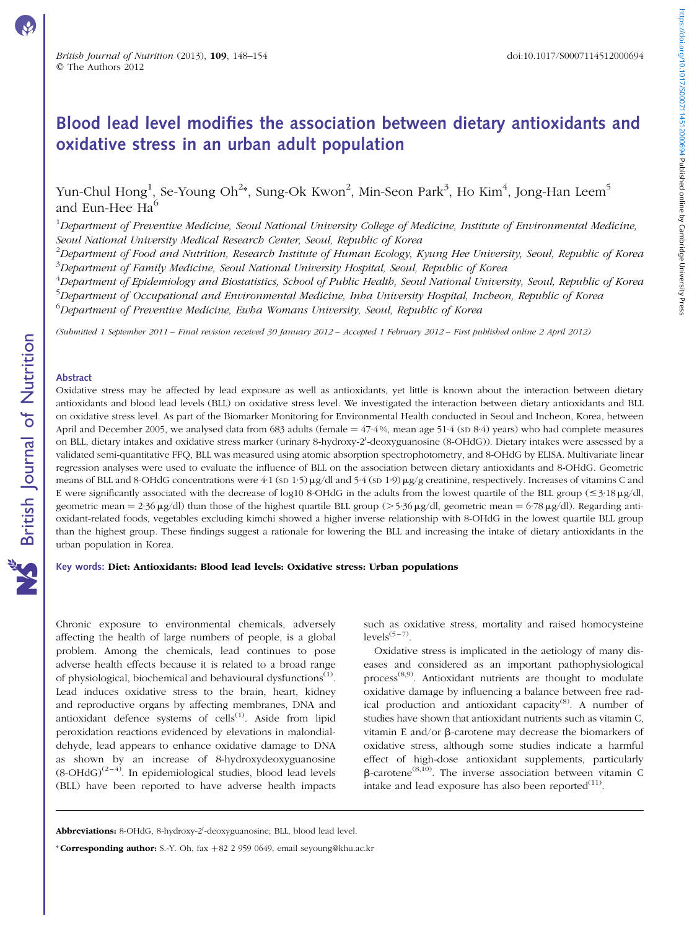# Blood lead level modifies the association between dietary antioxidants and oxidative stress in an urban adult population

Yun-Chul Hong<sup>1</sup>, Se-Young Oh<sup>2</sup>\*, Sung-Ok Kwon<sup>2</sup>, Min-Seon Park<sup>3</sup>, Ho Kim<sup>4</sup>, Jong-Han Leem<sup>5</sup> and Eun-Hee  $\text{Ha}^6$ 

 $^1$ Department of Preventive Medicine, Seoul National University College of Medicine, Institute of Environmental Medicine, Seoul National University Medical Research Center, Seoul, Republic of Korea

 $^2$ Department of Food and Nutrition, Research Institute of Human Ecology, Kyung Hee University, Seoul, Republic of Korea  $^3$ Department of Family Medicine, Seoul National University Hospital, Seoul, Republic of Korea

<sup>4</sup>Department of Epidemiology and Biostatistics, School of Public Health, Seoul National University, Seoul, Republic of Korea <sup>5</sup>Department of Occupational and Environmental Medicine, Inha University Hospital, Incheon, Republic of Korea <sup>6</sup>Department of Preventive Medicine, Ewha Womans University, Seoul, Republic of Korea

(Submitted 1 September 2011 – Final revision received 30 January 2012 – Accepted 1 February 2012 – First published online 2 April 2012)

## Abstract

Oxidative stress may be affected by lead exposure as well as antioxidants, yet little is known about the interaction between dietary antioxidants and blood lead levels (BLL) on oxidative stress level. We investigated the interaction between dietary antioxidants and BLL on oxidative stress level. As part of the Biomarker Monitoring for Environmental Health conducted in Seoul and Incheon, Korea, between April and December 2005, we analysed data from 683 adults (female  $=$  47·4%, mean age 51·4 (sp 8·4) years) who had complete measures on BLL, dietary intakes and oxidative stress marker (urinary 8-hydroxy-2'-deoxyguanosine (8-OHdG)). Dietary intakes were assessed by a validated semi-quantitative FFQ, BLL was measured using atomic absorption spectrophotometry, and 8-OHdG by ELISA. Multivariate linear regression analyses were used to evaluate the influence of BLL on the association between dietary antioxidants and 8-OHdG. Geometric means of BLL and 8-OHdG concentrations were 4·1 (sp 1·5)  $\mu$ g/dl and 5·4 (sp 1·9)  $\mu$ g/g creatinine, respectively. Increases of vitamins C and E were significantly associated with the decrease of log10 8-OHdG in the adults from the lowest quartile of the BLL group ( $\leq$ 3·18 $\mu$ g/dl, geometric mean =  $2.36 \mu g/dl$ ) than those of the highest quartile BLL group (>  $5.36 \mu g/dl$ , geometric mean =  $6.78 \mu g/dl$ ). Regarding antioxidant-related foods, vegetables excluding kimchi showed a higher inverse relationship with 8-OHdG in the lowest quartile BLL group than the highest group. These findings suggest a rationale for lowering the BLL and increasing the intake of dietary antioxidants in the urban population in Korea.

# Key words: Diet: Antioxidants: Blood lead levels: Oxidative stress: Urban populations

Chronic exposure to environmental chemicals, adversely affecting the health of large numbers of people, is a global problem. Among the chemicals, lead continues to pose adverse health effects because it is related to a broad range of physiological, biochemical and behavioural dysfunctions<sup>(1)</sup>. Lead induces oxidative stress to the brain, heart, kidney and reproductive organs by affecting membranes, DNA and antioxidant defence systems of  $\text{cells}^{(1)}$ . Aside from lipid peroxidation reactions evidenced by elevations in malondialdehyde, lead appears to enhance oxidative damage to DNA as shown by an increase of 8-hydroxydeoxyguanosine  $(8\text{-}OHdG)^{(2-4)}$ . In epidemiological studies, blood lead levels (BLL) have been reported to have adverse health impacts

such as oxidative stress, mortality and raised homocysteine  $levels^{(5-7)}$ .

Oxidative stress is implicated in the aetiology of many diseases and considered as an important pathophysiological process<sup>(8,9)</sup>. Antioxidant nutrients are thought to modulate oxidative damage by influencing a balance between free radical production and antioxidant capacity<sup>(8)</sup>. A number of studies have shown that antioxidant nutrients such as vitamin C, vitamin E and/or  $\beta$ -carotene may decrease the biomarkers of oxidative stress, although some studies indicate a harmful effect of high-dose antioxidant supplements, particularly  $\beta$ -carotene<sup>(8,10)</sup>. The inverse association between vitamin C intake and lead exposure has also been reported $(11)$ .

Abbreviations: 8-OHdG, 8-hydroxy-2'-deoxyguanosine; BLL, blood lead level.

<sup>\*</sup> Corresponding author: S.-Y. Oh, fax  $+82$  2 959 0649, email seyoung@khu.ac.kr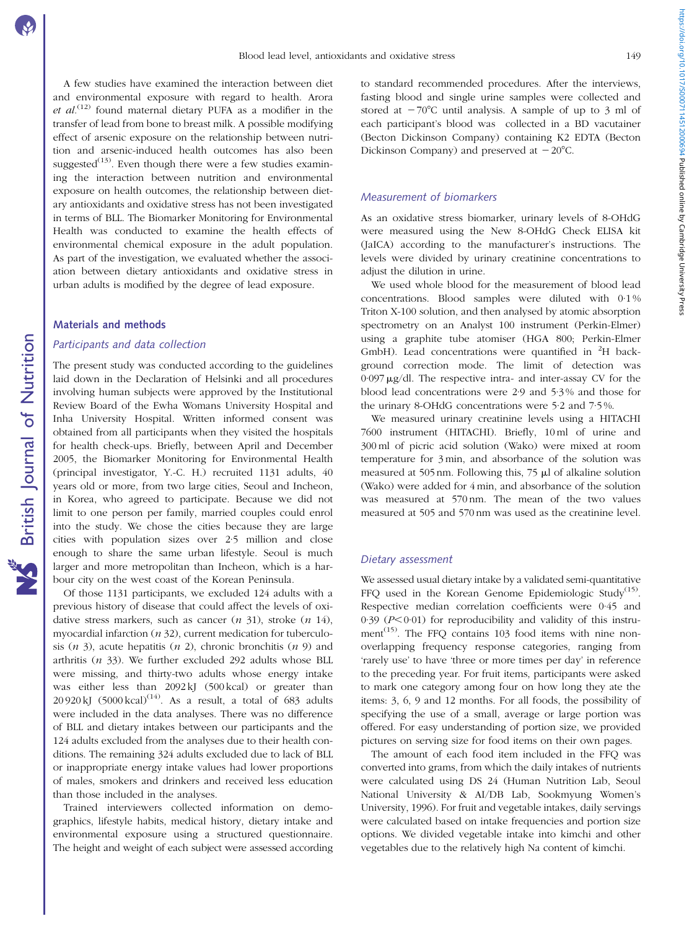A few studies have examined the interaction between diet and environmental exposure with regard to health. Arora et  $al^{(12)}$  found maternal dietary PUFA as a modifier in the transfer of lead from bone to breast milk. A possible modifying effect of arsenic exposure on the relationship between nutrition and arsenic-induced health outcomes has also been suggested<sup>(13)</sup>. Even though there were a few studies examining the interaction between nutrition and environmental exposure on health outcomes, the relationship between dietary antioxidants and oxidative stress has not been investigated in terms of BLL. The Biomarker Monitoring for Environmental Health was conducted to examine the health effects of environmental chemical exposure in the adult population. As part of the investigation, we evaluated whether the association between dietary antioxidants and oxidative stress in urban adults is modified by the degree of lead exposure.

# Materials and methods

## Participants and data collection

The present study was conducted according to the guidelines laid down in the Declaration of Helsinki and all procedures involving human subjects were approved by the Institutional Review Board of the Ewha Womans University Hospital and Inha University Hospital. Written informed consent was obtained from all participants when they visited the hospitals for health check-ups. Briefly, between April and December 2005, the Biomarker Monitoring for Environmental Health (principal investigator, Y.-C. H.) recruited 1131 adults, 40 years old or more, from two large cities, Seoul and Incheon, in Korea, who agreed to participate. Because we did not limit to one person per family, married couples could enrol into the study. We chose the cities because they are large cities with population sizes over 2·5 million and close enough to share the same urban lifestyle. Seoul is much larger and more metropolitan than Incheon, which is a harbour city on the west coast of the Korean Peninsula.

Of those 1131 participants, we excluded 124 adults with a previous history of disease that could affect the levels of oxidative stress markers, such as cancer  $(n 31)$ , stroke  $(n 14)$ , myocardial infarction  $(n 32)$ , current medication for tuberculosis  $(n, 3)$ , acute hepatitis  $(n, 2)$ , chronic bronchitis  $(n, 9)$  and arthritis  $(n \ 33)$ . We further excluded 292 adults whose BLL were missing, and thirty-two adults whose energy intake was either less than 2092 kJ (500 kcal) or greater than 20 920 kJ  $(5000 \text{ kcal})^{(14)}$ . As a result, a total of 683 adults were included in the data analyses. There was no difference of BLL and dietary intakes between our participants and the 124 adults excluded from the analyses due to their health conditions. The remaining 324 adults excluded due to lack of BLL or inappropriate energy intake values had lower proportions of males, smokers and drinkers and received less education than those included in the analyses.

Trained interviewers collected information on demographics, lifestyle habits, medical history, dietary intake and environmental exposure using a structured questionnaire. The height and weight of each subject were assessed according

to standard recommended procedures. After the interviews, fasting blood and single urine samples were collected and stored at  $-70^{\circ}$ C until analysis. A sample of up to 3 ml of each participant's blood was collected in a BD vacutainer (Becton Dickinson Company) containing K2 EDTA (Becton Dickinson Company) and preserved at  $-20^{\circ}$ C.

# Measurement of biomarkers

As an oxidative stress biomarker, urinary levels of 8-OHdG were measured using the New 8-OHdG Check ELISA kit (JaICA) according to the manufacturer's instructions. The levels were divided by urinary creatinine concentrations to adjust the dilution in urine.

We used whole blood for the measurement of blood lead concentrations. Blood samples were diluted with 0.1% Triton X-100 solution, and then analysed by atomic absorption spectrometry on an Analyst 100 instrument (Perkin-Elmer) using a graphite tube atomiser (HGA 800; Perkin-Elmer GmbH). Lead concentrations were quantified in  ${}^{2}H$  background correction mode. The limit of detection was 0·097 mg/dl. The respective intra- and inter-assay CV for the blood lead concentrations were 2·9 and 5·3 % and those for the urinary 8-OHdG concentrations were 5·2 and 7·5 %.

We measured urinary creatinine levels using a HITACHI 7600 instrument (HITACHI). Briefly, 10 ml of urine and 300 ml of picric acid solution (Wako) were mixed at room temperature for 3 min, and absorbance of the solution was measured at 505 nm. Following this,  $75 \mu l$  of alkaline solution (Wako) were added for 4 min, and absorbance of the solution was measured at 570 nm. The mean of the two values measured at 505 and 570 nm was used as the creatinine level.

## Dietary assessment

We assessed usual dietary intake by a validated semi-quantitative FFQ used in the Korean Genome Epidemiologic Study<sup>(15)</sup>. Respective median correlation coefficients were 0·45 and 0.39 ( $P<0.01$ ) for reproducibility and validity of this instrument $(15)$ . The FFQ contains 103 food items with nine nonoverlapping frequency response categories, ranging from 'rarely use' to have 'three or more times per day' in reference to the preceding year. For fruit items, participants were asked to mark one category among four on how long they ate the items: 3, 6, 9 and 12 months. For all foods, the possibility of specifying the use of a small, average or large portion was offered. For easy understanding of portion size, we provided pictures on serving size for food items on their own pages.

The amount of each food item included in the FFQ was converted into grams, from which the daily intakes of nutrients were calculated using DS 24 (Human Nutrition Lab, Seoul National University & AI/DB Lab, Sookmyung Women's University, 1996). For fruit and vegetable intakes, daily servings were calculated based on intake frequencies and portion size options. We divided vegetable intake into kimchi and other vegetables due to the relatively high Na content of kimchi.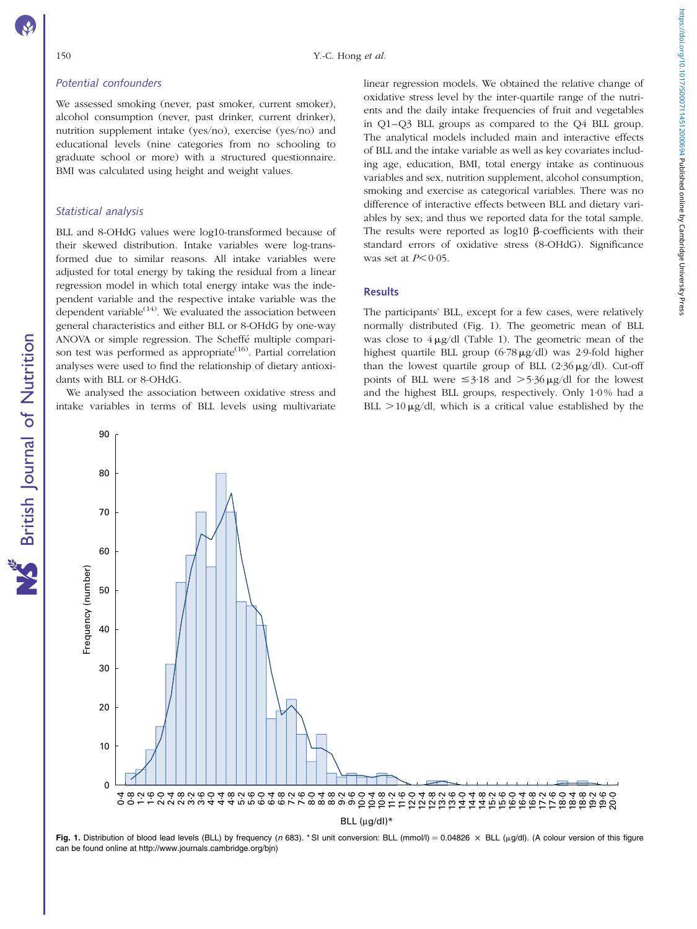# Potential confounders

We assessed smoking (never, past smoker, current smoker), alcohol consumption (never, past drinker, current drinker), nutrition supplement intake (yes/no), exercise (yes/no) and educational levels (nine categories from no schooling to graduate school or more) with a structured questionnaire. BMI was calculated using height and weight values.

# Statistical analysis

80

90

British Journal of Nutrition

**NS** British Journal of Nutrition

BLL and 8-OHdG values were log10-transformed because of their skewed distribution. Intake variables were log-transformed due to similar reasons. All intake variables were adjusted for total energy by taking the residual from a linear regression model in which total energy intake was the independent variable and the respective intake variable was the dependent variable $^{(14)}$ . We evaluated the association between general characteristics and either BLL or 8-OHdG by one-way ANOVA or simple regression. The Scheffe´ multiple comparison test was performed as appropriate<sup> $(16)$ </sup>. Partial correlation analyses were used to find the relationship of dietary antioxidants with BLL or 8-OHdG.

We analysed the association between oxidative stress and intake variables in terms of BLL levels using multivariate

linear regression models. We obtained the relative change of oxidative stress level by the inter-quartile range of the nutrients and the daily intake frequencies of fruit and vegetables in Q1–Q3 BLL groups as compared to the Q4 BLL group. The analytical models included main and interactive effects of BLL and the intake variable as well as key covariates including age, education, BMI, total energy intake as continuous variables and sex, nutrition supplement, alcohol consumption, smoking and exercise as categorical variables. There was no difference of interactive effects between BLL and dietary variables by sex; and thus we reported data for the total sample. The results were reported as  $log10 \beta$ -coefficients with their standard errors of oxidative stress (8-OHdG). Significance was set at  $P < 0.05$ .

# **Results**

The participants' BLL, except for a few cases, were relatively normally distributed (Fig. 1). The geometric mean of BLL was close to  $4 \mu g/dl$  [\(Table 1\)](#page-3-0). The geometric mean of the highest quartile BLL group  $(6.78 \,\mu\text{g}/\text{d}l)$  was 2.9-fold higher than the lowest quartile group of BLL  $(2.36 \,\mu\text{g}/\text{dl})$ . Cut-off points of BLL were  $\leq$ 3·18 and  $>$ 5·36  $\mu$ g/dl for the lowest and the highest BLL groups, respectively. Only 1·0 % had a BLL  $>10 \mu g/dl$ , which is a critical value established by the

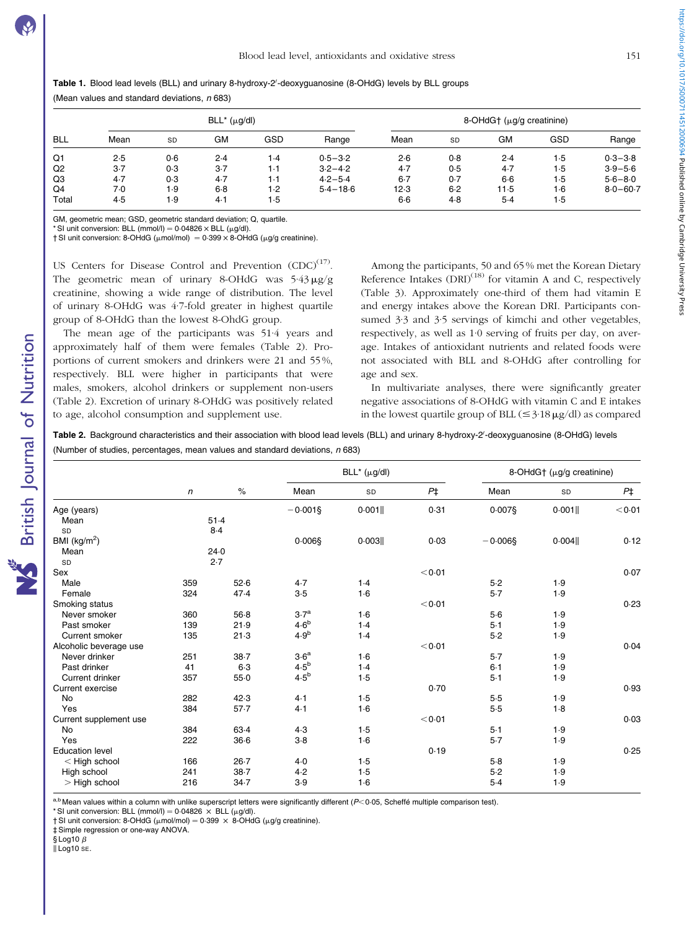<span id="page-3-0"></span>

|  |  |  |  |  | Table 1. Blood lead levels (BLL) and urinary 8-hydroxy-2'-deoxyguanosine (8-OHdG) levels by BLL groups |  |  |  |
|--|--|--|--|--|--------------------------------------------------------------------------------------------------------|--|--|--|
|--|--|--|--|--|--------------------------------------------------------------------------------------------------------|--|--|--|

(Mean values and standard deviations,  $n$  683)

|                |       |           | $BLL^*(\mu g/dl)$ |     |              |         |           | 8-OHdG $\dagger$ ( $\mu$ g/g creatinine) |     |              |
|----------------|-------|-----------|-------------------|-----|--------------|---------|-----------|------------------------------------------|-----|--------------|
| <b>BLL</b>     | Mean  | <b>SD</b> | GМ                | GSD | Range        | Mean    | <b>SD</b> | <b>GM</b>                                | GSD | Range        |
| Q1             | 2.5   | 0.6       | 2.4               | 1.4 | $0.5 - 3.2$  | 2.6     | 0.8       | 2.4                                      | 1.5 | $0.3 - 3.8$  |
| Q <sub>2</sub> | $3-7$ | 0.3       | $3-7$             | 1.1 | $3.2 - 4.2$  | 4.7     | 0.5       | $4-7$                                    | 1.5 | $3.9 - 5.6$  |
| Q3             | $4-7$ | 0.3       | 4.7               | 1.1 | $4.2 - 5.4$  | $6 - 7$ | 0.7       | $6-6$                                    | 1.5 | $5.6 - 8.0$  |
| Q4             | 7.0   | 1.9       | $6-8$             | 1.2 | $5.4 - 18.6$ | 12.3    | 6.2       | 11-5                                     | 1.6 | $8.0 - 60.7$ |
| Total          | 4.5   | 9۱        | 4.1               | 1.5 |              | $6-6$   | 4.8       | $5-4$                                    | 1.5 |              |

GM, geometric mean; GSD, geometric standard deviation; Q, quartile.

\* SI unit conversion: BLL (mmol/l) =  $0.04826 \times$  BLL ( $\mu$ g/dl)

 $\dagger$  SI unit conversion: 8-OHdG ( $\mu$ mol/mol) = 0·399  $\times$  8-OHdG ( $\mu$ g/g creatinine).

US Centers for Disease Control and Prevention  $(CDC)^{(17)}$ . The geometric mean of urinary 8-OHdG was  $5.43 \mu$ g/g creatinine, showing a wide range of distribution. The level of urinary 8-OHdG was 4·7-fold greater in highest quartile group of 8-OHdG than the lowest 8-OhdG group.

The mean age of the participants was 51·4 years and approximately half of them were females (Table 2). Proportions of current smokers and drinkers were 21 and 55 %, respectively. BLL were higher in participants that were males, smokers, alcohol drinkers or supplement non-users (Table 2). Excretion of urinary 8-OHdG was positively related to age, alcohol consumption and supplement use.

Among the participants, 50 and 65 % met the Korean Dietary Reference Intakes  $(DRI)^{(18)}$  for vitamin A and C, respectively ([Table 3\)](#page-4-0). Approximately one-third of them had vitamin E and energy intakes above the Korean DRI. Participants consumed 3·3 and 3·5 servings of kimchi and other vegetables, respectively, as well as 1·0 serving of fruits per day, on average. Intakes of antioxidant nutrients and related foods were not associated with BLL and 8-OHdG after controlling for age and sex.

In multivariate analyses, there were significantly greater negative associations of 8-OHdG with vitamin C and E intakes in the lowest quartile group of BLL  $(\leq 3.18 \,\mu\text{g/dl})$  as compared

Table 2. Background characteristics and their association with blood lead levels (BLL) and urinary 8-hydroxy-2'-deoxyguanosine (8-OHdG) levels (Number of studies, percentages, mean values and standard deviations,  $n$  683)

|                        |     |          |                  | $BLL^*$ ( $\mu$ g/dl) |             |            | 8-OHdG $\dagger$ ( $\mu$ g/g creatinine) |             |
|------------------------|-----|----------|------------------|-----------------------|-------------|------------|------------------------------------------|-------------|
|                        | n   | $\%$     | Mean             | SD                    | $P\ddagger$ | Mean       | SD                                       | $P\ddagger$ |
| Age (years)            |     |          | $-0.001$ §       | 0.001                 | 0.31        | $0.007$ §  | 0.001                                    | < 0.01      |
| Mean                   |     | 51.4     |                  |                       |             |            |                                          |             |
| SD                     |     | 8.4      |                  |                       |             |            |                                          |             |
| BMI $(kg/m2)$          |     |          | $0.006$ §        | 0.003                 | 0.03        | $-0.006$ § | 0.004                                    | 0.12        |
| Mean                   |     | 24.0     |                  |                       |             |            |                                          |             |
| SD                     |     | 2.7      |                  |                       |             |            |                                          |             |
| Sex                    |     |          |                  |                       | < 0.01      |            |                                          | 0.07        |
| Male                   | 359 | 52.6     | 4.7              | 1.4                   |             | 5.2        | 1.9                                      |             |
| Female                 | 324 | 47.4     | 3.5              | $1-6$                 |             | 5.7        | 1.9                                      |             |
| Smoking status         |     |          |                  |                       | < 0.01      |            |                                          | 0.23        |
| Never smoker           | 360 | $56-8$   | 3.7 <sup>a</sup> | $1-6$                 |             | $5-6$      | 1.9                                      |             |
| Past smoker            | 139 | 21.9     | 4.6 <sup>b</sup> | 1.4                   |             | $5-1$      | 1.9                                      |             |
| Current smoker         | 135 | 21.3     | 4.9 <sup>b</sup> | 1.4                   |             | $5-2$      | 1.9                                      |             |
| Alcoholic beverage use |     |          |                  |                       | < 0.01      |            |                                          | 0.04        |
| Never drinker          | 251 | $38 - 7$ | 3.6 <sup>a</sup> | $1-6$                 |             | $5 - 7$    | 1.9                                      |             |
| Past drinker           | 41  | $6-3$    | $4.5^b$          | 1.4                   |             | $6 - 1$    | 1.9                                      |             |
| Current drinker        | 357 | $55-0$   | 4.5 <sup>b</sup> | 1.5                   |             | $5-1$      | 1.9                                      |             |
| Current exercise       |     |          |                  |                       | 0.70        |            |                                          | 0.93        |
| <b>No</b>              | 282 | 42.3     | 4.1              | 1.5                   |             | 5.5        | 1.9                                      |             |
| Yes                    | 384 | 57.7     | 4.1              | $1-6$                 |             | 5.5        | 1.8                                      |             |
| Current supplement use |     |          |                  |                       | < 0.01      |            |                                          | 0.03        |
| <b>No</b>              | 384 | $63-4$   | 4.3              | 1.5                   |             | $5-1$      | 1.9                                      |             |
| Yes                    | 222 | $36-6$   | $3-8$            | $1-6$                 |             | 5.7        | 1.9                                      |             |
| <b>Education level</b> |     |          |                  |                       | 0.19        |            |                                          | 0.25        |
| $<$ High school        | 166 | $26 - 7$ | $4-0$            | 1.5                   |             | 5.8        | 1.9                                      |             |
| High school            | 241 | $38 - 7$ | 4.2              | 1.5                   |             | 5.2        | 1.9                                      |             |
| $>$ High school        | 216 | 34.7     | 3.9              | 1.6                   |             | $5-4$      | 1.9                                      |             |

a,b Mean values within a column with unlike superscript letters were significantly different  $(P<0.05$ , Scheffé multiple comparison test).

\* SI unit conversion: BLL (mmol/l) =  $0.04826 \times$  BLL ( $\mu$ g/dl).

 $\dagger$  SI unit conversion: 8-OHdG ( $\mu$ mol/mol) = 0.399  $\times$  8-OHdG ( $\mu$ g/g creatinine).

‡ Simple regression or one-way ANOVA.

 $$$  Log10  $\beta$ 

British Journal of Nutrition

**NS** British Journal of Nutrition

 $\parallel$  Log10 se.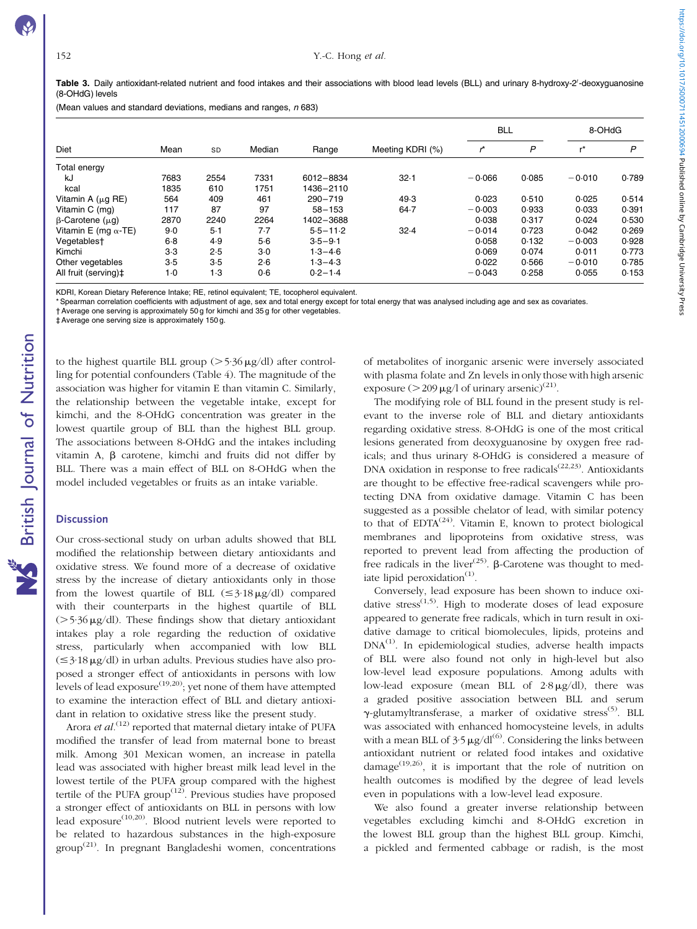<span id="page-4-0"></span>(Mean values and standard deviations, medians and ranges,  $n$  683)

|                              |       |           |        |              |                  | <b>BLL</b> |       | 8-OHdG   |       |
|------------------------------|-------|-----------|--------|--------------|------------------|------------|-------|----------|-------|
| Diet                         | Mean  | <b>SD</b> | Median | Range        | Meeting KDRI (%) |            | P     |          | P     |
| Total energy                 |       |           |        |              |                  |            |       |          |       |
| kJ                           | 7683  | 2554      | 7331   | 6012-8834    | $32 - 1$         | $-0.066$   | 0.085 | $-0.010$ | 0.789 |
| kcal                         | 1835  | 610       | 1751   | 1436-2110    |                  |            |       |          |       |
| Vitamin A $(\mu q$ RE)       | 564   | 409       | 461    | $290 - 719$  | 49.3             | 0.023      | 0.510 | 0.025    | 0.514 |
| Vitamin C (mg)               | 117   | 87        | 97     | $58 - 153$   | $64 - 7$         | $-0.003$   | 0.933 | 0.033    | 0.391 |
| $\beta$ -Carotene ( $\mu$ g) | 2870  | 2240      | 2264   | 1402-3688    |                  | 0.038      | 0.317 | 0.024    | 0.530 |
| Vitamin E (mg $\alpha$ -TE)  | $9-0$ | $5-1$     | 7.7    | $5.5 - 11.2$ | 32.4             | $-0.014$   | 0.723 | 0.042    | 0.269 |
| Vegetablest                  | $6-8$ | 4.9       | 5.6    | $3.5 - 9.1$  |                  | 0.058      | 0.132 | $-0.003$ | 0.928 |
| Kimchi                       | $3-3$ | 2.5       | $3-0$  | $1.3 - 4.6$  |                  | 0.069      | 0.074 | 0.011    | 0.773 |
| Other vegetables             | 3.5   | 3.5       | 2.6    | $1.3 - 4.3$  |                  | 0.022      | 0.566 | $-0.010$ | 0.785 |
| All fruit (serving)‡         | $1-0$ | 1.3       | 0.6    | $0.2 - 1.4$  |                  | $-0.043$   | 0.258 | 0.055    | 0.153 |

KDRI, Korean Dietary Reference Intake; RE, retinol equivalent; TE, tocopherol equivalent.

\* Spearman correlation coefficients with adjustment of age, sex and total energy except for total energy that was analysed including age and sex as covariates.

† Average one serving is approximately 50 g for kimchi and 35 g for other vegetables.

‡ Average one serving size is approximately 150 g.

to the highest quartile BLL group  $(>5.36 \,\mu\text{g/dl})$  after controlling for potential confounders [\(Table 4](#page-5-0)). The magnitude of the association was higher for vitamin E than vitamin C. Similarly, the relationship between the vegetable intake, except for kimchi, and the 8-OHdG concentration was greater in the lowest quartile group of BLL than the highest BLL group. The associations between 8-OHdG and the intakes including vitamin A, b carotene, kimchi and fruits did not differ by BLL. There was a main effect of BLL on 8-OHdG when the model included vegetables or fruits as an intake variable.

## **Discussion**

Our cross-sectional study on urban adults showed that BLL modified the relationship between dietary antioxidants and oxidative stress. We found more of a decrease of oxidative stress by the increase of dietary antioxidants only in those from the lowest quartile of BLL  $(\leq 3.18 \,\mu\text{g/dl})$  compared with their counterparts in the highest quartile of BLL  $(5.36 \,\mu\text{g/dl})$ . These findings show that dietary antioxidant intakes play a role regarding the reduction of oxidative stress, particularly when accompanied with low BLL  $(\leq$ 3·18  $\mu$ g/dl) in urban adults. Previous studies have also proposed a stronger effect of antioxidants in persons with low levels of lead exposure<sup> $(19,20)$ </sup>; yet none of them have attempted to examine the interaction effect of BLL and dietary antioxidant in relation to oxidative stress like the present study.

Arora et  $al^{(12)}$  reported that maternal dietary intake of PUFA modified the transfer of lead from maternal bone to breast milk. Among 301 Mexican women, an increase in patella lead was associated with higher breast milk lead level in the lowest tertile of the PUFA group compared with the highest tertile of the PUFA group<sup> $(12)$ </sup>. Previous studies have proposed a stronger effect of antioxidants on BLL in persons with low lead exposure<sup> $(10,20)$ </sup>. Blood nutrient levels were reported to be related to hazardous substances in the high-exposure group(21). In pregnant Bangladeshi women, concentrations

of metabolites of inorganic arsenic were inversely associated with plasma folate and Zn levels in only thosewith high arsenic exposure ( $>$  209 µg/l of urinary arsenic)<sup>(21)</sup>.

The modifying role of BLL found in the present study is relevant to the inverse role of BLL and dietary antioxidants regarding oxidative stress. 8-OHdG is one of the most critical lesions generated from deoxyguanosine by oxygen free radicals; and thus urinary 8-OHdG is considered a measure of DNA oxidation in response to free radicals<sup>(22,23)</sup>. Antioxidants are thought to be effective free-radical scavengers while protecting DNA from oxidative damage. Vitamin C has been suggested as a possible chelator of lead, with similar potency to that of  $EDTA^{(24)}$ . Vitamin E, known to protect biological membranes and lipoproteins from oxidative stress, was reported to prevent lead from affecting the production of free radicals in the liver<sup>(25)</sup>.  $\beta$ -Carotene was thought to mediate lipid peroxidation $(1)$ .

Conversely, lead exposure has been shown to induce oxidative stress<sup> $(1,5)$ </sup>. High to moderate doses of lead exposure appeared to generate free radicals, which in turn result in oxidative damage to critical biomolecules, lipids, proteins and  $DNA<sup>(1)</sup>$ . In epidemiological studies, adverse health impacts of BLL were also found not only in high-level but also low-level lead exposure populations. Among adults with low-lead exposure (mean BLL of  $2.8 \mu g/dl$ ), there was a graded positive association between BLL and serum  $\gamma$ -glutamyltransferase, a marker of oxidative stress<sup>(5)</sup>. BLL was associated with enhanced homocysteine levels, in adults with a mean BLL of  $3.5 \mu$ g/dl<sup>(6)</sup>. Considering the links between antioxidant nutrient or related food intakes and oxidative damage<sup> $(19,26)$ </sup>, it is important that the role of nutrition on health outcomes is modified by the degree of lead levels even in populations with a low-level lead exposure.

We also found a greater inverse relationship between vegetables excluding kimchi and 8-OHdG excretion in the lowest BLL group than the highest BLL group. Kimchi, a pickled and fermented cabbage or radish, is the most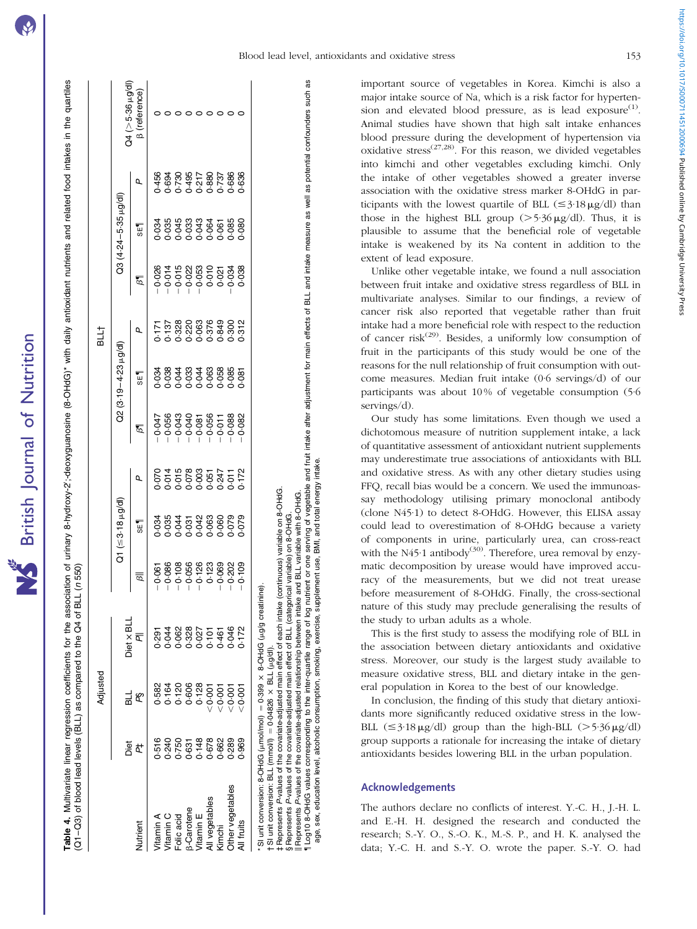|                         |       |          |            | )<br>)<br>)<br>) |                      |   |                |                           |      |         |                     |   |                        |
|-------------------------|-------|----------|------------|------------------|----------------------|---|----------------|---------------------------|------|---------|---------------------|---|------------------------|
|                         |       | Adjusted |            |                  |                      |   |                |                           | BLL† |         |                     |   |                        |
|                         | Diet  |          | Diet x BLL |                  | $21 (53.18 \mu g/d)$ |   |                | $22(3.19 - 4.23 \mu g/d)$ |      |         | 23 (4.24-5-35 µg/dl |   | />5-36 µg/di           |
| lutrient                | ¢     | βŞ       | ā          | ड                | <b>SET</b>           | Q | $\overline{6}$ | <b>SET</b>                | Q    | $\beta$ | <b>SET</b>          | Q | reterence <sup>'</sup> |
| <b>Tramin A</b>         | 0.516 |          |            | 0.061            |                      |   |                |                           |      |         |                     |   |                        |
|                         |       |          |            |                  |                      |   |                |                           |      |         |                     |   |                        |
| Vitamin C<br>Folic acid |       |          |            |                  |                      |   |                |                           |      |         |                     |   |                        |
|                         |       |          |            |                  |                      |   |                |                           |      |         |                     |   |                        |
| 3-Carotene<br>Vitamin E |       |          |            |                  |                      |   |                |                           |      |         |                     |   |                        |
| Il vegetables           |       |          |            |                  |                      |   |                |                           |      |         |                     |   |                        |
| <b>Cimchi</b>           |       |          |            |                  |                      |   |                |                           |      |         |                     |   |                        |
| ther vegetables         |       |          |            |                  |                      |   |                |                           |      |         |                     |   |                        |
| Il fruits               |       |          |            |                  |                      |   |                |                           |      |         |                     |   |                        |

<span id="page-5-0"></span>Multivariate linear regression coefficients for the association of urinary 8-hydroxyguanosine (8-OHdG)\* with daily antioxidant nutrients and related food intakes in the quartiles association of urinary 8-hydroxy-2';-deoxyguanosine (8-OHdG)\* with daily antioxidant nutrients and related food intakes in the quartiles Table 4. Multivariate linear regression coefficients for the association of C1-03) of blood lead levels (BLL) as compared to the Q4 of BLL (n 550) (Q1–Q3) of blood lead levels (BLL) as compared to the Q4 of BLL (n 550) Table 4.

,0·001 0·046 20·202 0·079 0·011 20·088 0·085 0·300 20·034 0·085 0·686 0 ,0·001 0·172 20·109 0·079 0·172 20·082 0·081 0·312 0·038 0·080 0·636 0 388<br>0.639<br>0.0 3.88<br>3.88 3.038<br>2.038 330<br>3312<br>0-0 3<br>3<br>0<br>0<br>0<br>0 38<br>38<br>0.082 172<br>0.172 the covariate-adjusted main effect of each intake (continuous) variable on 8-OHdG. ‡ Represents P-values of the covariate-adjusted main effect of each intake (continuous) variable on 8-OHdG. 9<br>0.079<br>0.0 302<br>0.709<br>0.70 (a) unit conversion: 8-OHd (mmol/mol) (DHO-B (unit conversion: 8-OH)  $\alpha$  ; × 8-OHdG (µg/g creatinine) 0.046<br>0.172  $= 0.04826 \times BL(L \mu g/d).$ † SI unit conversion: BLL (mmol/l) ¼ 0·04826 £ BLL (mg/dl). 55<br>00:00<br>∨∨  $= 0.399$ 'SI unit conversion: 8-OHdG (µmol/mol) 389<br>389<br>0.962 (mmoll) Other vegetables 0·289 All fruits 0·969 unit conversion: BLL P-values of vegerapes Represents her ver<br>fruits  $\frac{1}{5}$ 5 ₹

Log10 8-OHdG values corresponding to the inter-quartile range of log nutrient or one serving of vegetable and fruit intake after adjustment for main effects of BLL and intake measure as well as potential confounders such a Log10 8-OHdG values corresponding to the inter-quartile range of log of log nutrient or one serving of vegetable and fruit intake after adjustment for main effects of BLL and intake measure as well as potential confounders age, sex, education level, alcoholic consumption, smoking, exercise, supplement use, BMI, and total energy intake. BMI, and total energy intake P-values of the covariate-adjusted relationship between intake and BLL variable with 8-OHdG. Represents P-values of the covariate-adjusted relationship between intake and BLL variable with 8-OHdG. P-values of the covariate-adjusted main effect of BLL (categorical variable) on 8-OHdG. § Represents P-values of the covariate-adjusted main effect of BLL (categorical variable) on 8-OHdG. sex, education level, alcoholic consumption, smoking, exercise, supplement use, Represents Represents

important source of vegetables in Korea. Kimchi is also a major intake source of Na, which is a risk factor for hypertension and elevated blood pressure, as is lead  $\exp(\cos(1))$ . Animal studies have shown that high salt intake enhances blood pressure during the development of hypertension via oxidative stress<sup> $(27,28)$ </sup>. For this reason, we divided vegetables into kimchi and other vegetables excluding kimchi. Only the intake of other vegetables showed a greater inverse association with the oxidative stress marker 8-OHdG in participants with the lowest quartile of BLL  $(\leq 3.18 \mu g/dl)$  than those in the highest BLL group  $(>5.36 \,\mu\text{g/dl})$ . Thus, it is plausible to assume that the beneficial role of vegetable intake is weakened by its Na content in addition to the extent of lead exposure.

Unlike other vegetable intake, we found a null association between fruit intake and oxidative stress regardless of BLL in multivariate analyses. Similar to our findings, a review of cancer risk also reported that vegetable rather than fruit intake had a more beneficial role with respect to the reduction of cancer risk<sup> $(29)$ </sup>. Besides, a uniformly low consumption of fruit in the participants of this study would be one of the reasons for the null relationship of fruit consumption with outcome measures. Median fruit intake (0·6 servings/d) of our participants was about 10 % of vegetable consumption (5·6 servings/d).

Our study has some limitations. Even though we used a dichotomous measure of nutrition supplement intake, a lack of quantitative assessment of antioxidant nutrient supplements may underestimate true associations of antioxidants with BLL and oxidative stress. As with any other dietary studies using FFQ, recall bias would be a concern. We used the immunoassay methodology utilising primary monoclonal antibody (clone N45·1) to detect 8-OHdG. However, this ELISA assay could lead to overestimation of 8-OHdG because a variety of components in urine, particularly urea, can cross-react with the N45 $\cdot$ 1 antibody<sup>(30)</sup>. Therefore, urea removal by enzymatic decomposition by urease would have improved accuracy of the measurements, but we did not treat urease before measurement of 8-OHdG. Finally, the cross-sectional nature of this study may preclude generalising the results of the study to urban adults as a whole.

This is the first study to assess the modifying role of BLL in the association between dietary antioxidants and oxidative stress. Moreover, our study is the largest study available to measure oxidative stress, BLL and dietary intake in the general population in Korea to the best of our knowledge.

In conclusion, the finding of this study that dietary antioxidants more significantly reduced oxidative stress in the low-BLL  $(\leq 3.18 \,\mu\text{g/dl})$  group than the high-BLL  $(>5.36 \,\mu\text{g/dl})$ group supports a rationale for increasing the intake of dietary antioxidants besides lowering BLL in the urban population.

# Acknowledgements

The authors declare no conflicts of interest. Y.-C. H., J.-H. L. and E.-H. H. designed the research and conducted the research; S.-Y. O., S.-O. K., M.-S. P., and H. K. analysed the data; Y.-C. H. and S.-Y. O. wrote the paper. S.-Y. O. had https://doi.org/10.1017/S0007114512000694 Published online by Cambridge University Press https://doi.org/10.1017/S0007114512000694 Published online by Cambridge University Press